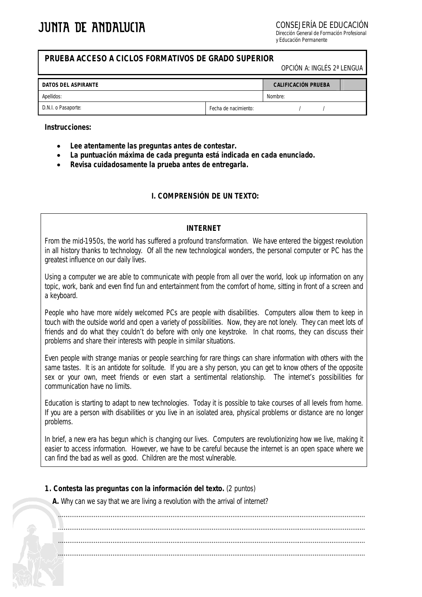CONSEJERÍA DE EDUCACIÓN

Dirección General de Formación Profesional y Educación Permanente

### **PRUEBA ACCESO A CICLOS FORMATIVOS DE GRADO SUPERIOR**

OPCIÓN A: INGLÉS 2ª LENGUA

| DATOS DEL ASPIRANTE |                      | <b>CALIFICACIÓN PRUEBA</b> |  |  |  |
|---------------------|----------------------|----------------------------|--|--|--|
| Apellidos:          |                      | Nombre:                    |  |  |  |
| D.N.I. o Pasaporte: | Fecha de nacimiento: |                            |  |  |  |

#### **Instrucciones:**

- **Lee atentamente las preguntas antes de contestar.**
- **La puntuación máxima de cada pregunta está indicada en cada enunciado.**
- **Revisa cuidadosamente la prueba antes de entregarla.**

## **I. COMPRENSIÓN DE UN TEXTO:**

### *INTERNET*

From the mid-1950s, the world has suffered a profound transformation. We have entered the biggest revolution in all history thanks to technology. Of all the new technological wonders, the personal computer or PC has the greatest influence on our daily lives.

Using a computer we are able to communicate with people from all over the world, look up information on any topic, work, bank and even find fun and entertainment from the comfort of home, sitting in front of a screen and a keyboard.

People who have more widely welcomed PCs are people with disabilities. Computers allow them to keep in touch with the outside world and open a variety of possibilities. Now, they are not lonely. They can meet lots of friends and do what they couldn't do before with only one keystroke. In chat rooms, they can discuss their problems and share their interests with people in similar situations.

Even people with strange manias or people searching for rare things can share information with others with the same tastes. It is an antidote for solitude. If you are a shy person, you can get to know others of the opposite sex or your own, meet friends or even start a sentimental relationship. The internet's possibilities for communication have no limits.

Education is starting to adapt to new technologies. Today it is possible to take courses of all levels from home. If you are a person with disabilities or you live in an isolated area, physical problems or distance are no longer problems.

In brief, a new era has begun which is changing our lives. Computers are revolutionizing how we live, making it easier to access information. However, we have to be careful because the internet is an open space where we can find the bad as well as good. Children are the most vulnerable.

### **1. Contesta las preguntas con la información del texto.** (2 puntos)

**A.** Why can we say that we are living a revolution with the arrival of internet?

.................................................................................................................................................................... .................................................................................................................................................................... .................................................................................................................................................................... ....................................................................................................................................................................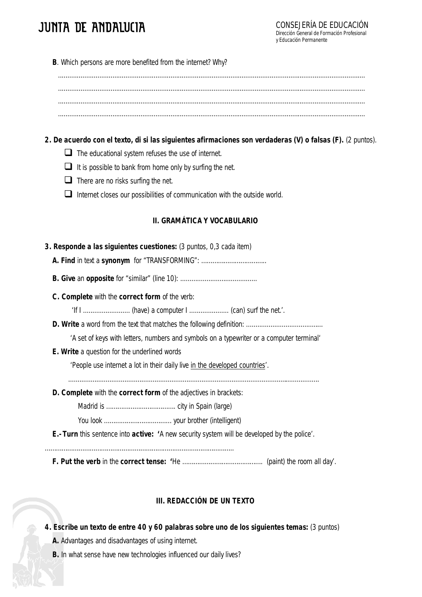# **JUNTA DE ANDALUCIA**

**B**. Which persons are more benefited from the internet? Why?

.................................................................................................................................................................... .................................................................................................................................................................... .................................................................................................................................................................... ....................................................................................................................................................................

# **2. De acuerdo con el texto, di si las siguientes afirmaciones son verdaderas (V) o falsas (F).** (2 puntos).

- $\Box$  The educational system refuses the use of internet.
- $\Box$  It is possible to bank from home only by surfing the net.
- $\Box$  There are no risks surfing the net.
- $\Box$  Internet closes our possibilities of communication with the outside world.

## **II. GRAMÁTICA Y VOCABULARIO**

| 3. Responde a las siguientes cuestiones: (3 puntos, 0,3 cada item)                                         |
|------------------------------------------------------------------------------------------------------------|
|                                                                                                            |
|                                                                                                            |
| C. Complete with the correct form of the verb:                                                             |
|                                                                                                            |
|                                                                                                            |
| 'A set of keys with letters, numbers and symbols on a typewriter or a computer terminal'                   |
| <b>E. Write</b> a question for the underlined words                                                        |
| 'People use internet a lot in their daily live in the developed countries'.                                |
|                                                                                                            |
| <b>D. Complete</b> with the <b>correct form</b> of the adjectives in brackets:                             |
|                                                                                                            |
|                                                                                                            |
| <b>E.- Turn</b> this sentence into <b>active:</b> 'A new security system will be developed by the police'. |

**F. Put the verb** in the **correct tense: '**He ……………………………………. (paint) the room all day'.

# **III. REDACCIÓN DE UN TEXTO**

- **4. Escribe un texto de entre 40 y 60 palabras sobre uno de los siguientes temas:** (3 puntos)
	- **A.** Advantages and disadvantages of using internet.
	- **B.** In what sense have new technologies influenced our daily lives?